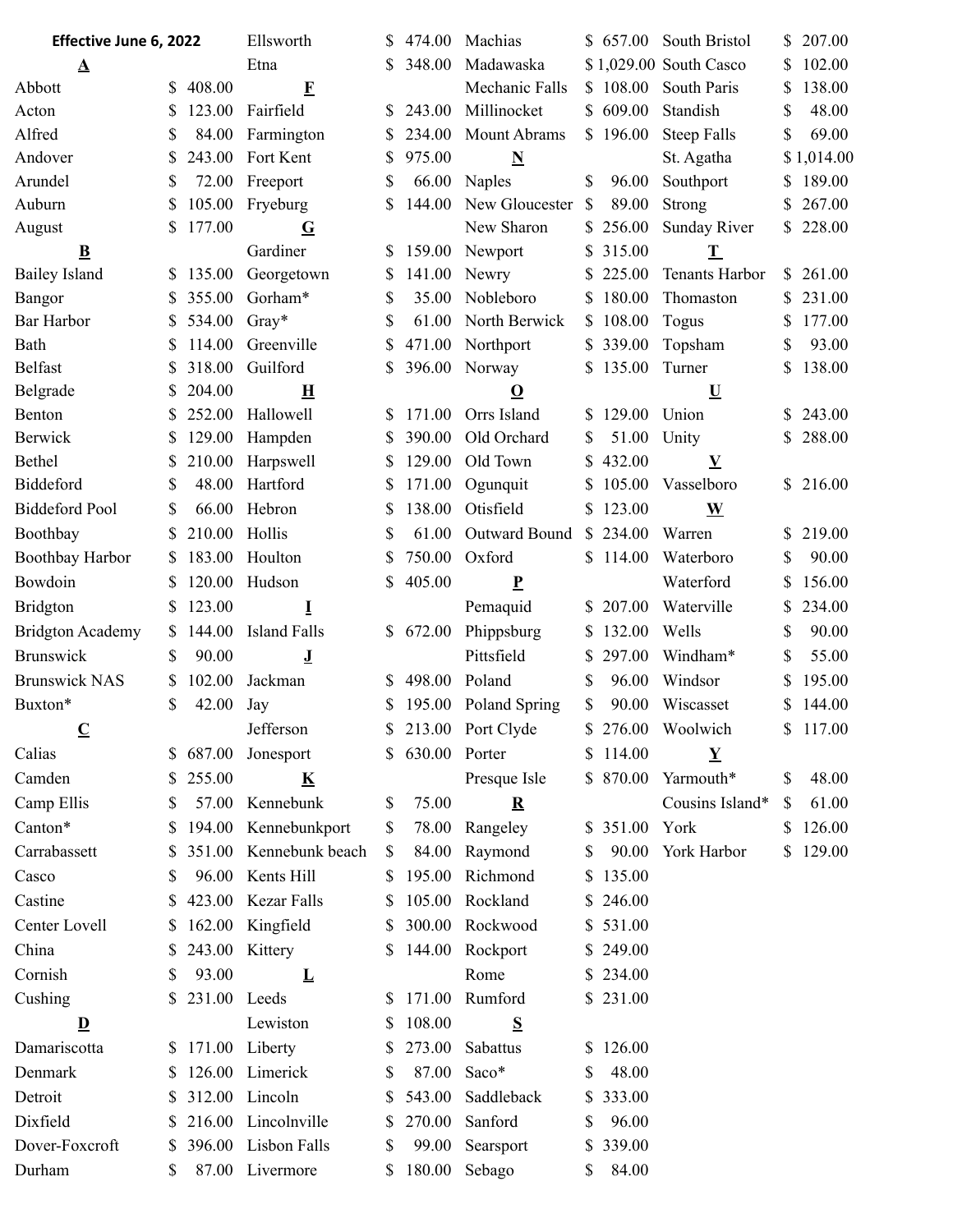| Effective June 6, 2022     |          |                  | Ellsworth               |                   | 474.00           | Machias                 |               | \$ 657.00              | South Bristol                          | \$           | 207.00     |
|----------------------------|----------|------------------|-------------------------|-------------------|------------------|-------------------------|---------------|------------------------|----------------------------------------|--------------|------------|
| $\Delta$                   |          | Etna             |                         | 348.00            | Madawaska        |                         |               | \$1,029.00 South Casco | S                                      | 102.00       |            |
| Abbott                     | \$       | 408.00           | $\mathbf{F}$            |                   |                  | Mechanic Falls          |               | \$108.00               | South Paris                            | \$           | 138.00     |
| Acton                      | \$       | 123.00           | Fairfield               |                   | 243.00           | Millinocket             |               | \$609.00               | Standish                               | \$           | 48.00      |
| Alfred                     | \$       | 84.00            | Farmington              | S                 | 234.00           | Mount Abrams            |               | \$196.00               | Steep Falls                            | \$           | 69.00      |
| Andover                    | \$       | 243.00           | Fort Kent               | S                 | 975.00           | $\overline{\mathbf{N}}$ |               |                        | St. Agatha                             |              | \$1,014.00 |
| Arundel                    | \$       | 72.00            | Freeport                | \$                | 66.00            | Naples                  | \$            | 96.00                  | Southport                              | \$           | 189.00     |
| Auburn                     | \$       | 105.00           | Fryeburg                |                   | 144.00           | New Gloucester          | $\mathcal{S}$ | 89.00                  | Strong                                 | \$           | 267.00     |
| August                     | \$       | 177.00           | $\mathbf G$             |                   |                  | New Sharon              |               | \$256.00               | <b>Sunday River</b>                    |              | \$228.00   |
| $\bf{B}$                   |          |                  | Gardiner                | S                 | 159.00           | Newport                 | S.            | 315.00                 | $\mathbf T$                            |              |            |
| <b>Bailey Island</b>       | S        | 135.00           | Georgetown              |                   | 141.00           | Newry                   | S.            | 225.00                 | Tenants Harbor                         | <sup>S</sup> | 261.00     |
| Bangor                     | \$       | 355.00           | Gorham*                 | \$                | 35.00            | Nobleboro               | S.            | 180.00                 | Thomaston                              | S.           | 231.00     |
| Bar Harbor                 | \$       | 534.00           | $Gray*$                 | \$                | 61.00            | North Berwick           |               | \$108.00               | Togus                                  | \$           | 177.00     |
| Bath                       | \$       | 114.00           | Greenville              | \$                | 471.00           | Northport               |               | \$339.00               | Topsham                                | \$           | 93.00      |
| <b>Belfast</b>             | \$       | 318.00           | Guilford                | \$                | 396.00           | Norway                  | S.            | 135.00                 | Turner                                 | \$           | 138.00     |
| Belgrade                   | \$       | 204.00           | $\bf{H}$                |                   |                  | $\Omega$                |               |                        | $\overline{\mathbf{U}}$                |              |            |
| Benton                     | \$       | 252.00<br>129.00 | Hallowell               |                   | 171.00           | Orrs Island             |               | \$129.00               | Union                                  | S.           | 243.00     |
| <b>Berwick</b>             | \$       |                  | Hampden                 | S                 | 390.00           | Old Orchard             | \$            | 51.00                  | Unity                                  | \$           | 288.00     |
| Bethel<br><b>Biddeford</b> | \$<br>\$ | 210.00<br>48.00  | Harpswell<br>Hartford   |                   | 129.00<br>171.00 | Old Town                | S             | 432.00<br>105.00       | $\underline{\mathbf{V}}$<br>Vasselboro |              | \$216.00   |
| <b>Biddeford Pool</b>      | \$       | 66.00            | Hebron                  | S                 | 138.00           | Ogunquit<br>Otisfield   | S.            | \$123.00               |                                        |              |            |
|                            |          |                  |                         | S                 |                  |                         |               |                        | $\underline{\mathbf{W}}$               |              |            |
| Boothbay                   | S        | 210.00           | Hollis                  | S                 | 61.00            | Outward Bound           |               | \$234.00               | Warren                                 | \$           | 219.00     |
| Boothbay Harbor            | \$       | 183.00           | Houlton                 | \$                | 750.00           | Oxford                  |               | \$114.00               | Waterboro                              | \$           | 90.00      |
| Bowdoin                    | S        | 120.00           | Hudson                  | \$                | 405.00           | $\underline{P}$         |               |                        | Waterford                              | \$           | 156.00     |
| <b>Bridgton</b>            | \$       | 123.00           | Ī                       |                   |                  | Pemaquid                | S.            | 207.00                 | Waterville                             | \$           | 234.00     |
| <b>Bridgton Academy</b>    | S.       | 144.00           | <b>Island Falls</b>     | <sup>S</sup>      | 672.00           | Phippsburg              | S.            | 132.00                 | Wells                                  | \$           | 90.00      |
| Brunswick                  | \$       | 90.00            | ॻ                       |                   |                  | Pittsfield              |               | 297.00                 | Windham*                               | \$           | 55.00      |
| <b>Brunswick NAS</b>       | \$       | 102.00           | Jackman                 | S.                | 498.00           | Poland                  | \$            | 96.00                  | Windsor                                | S            | 195.00     |
| Buxton*                    | \$       | 42.00            | Jay                     | \$<br>$\triangle$ |                  | 195.00 Poland Spring    | \$            | 90.00                  | Wiscasset                              | \$           | 144.00     |
| $\mathbf C$                |          |                  | Jefferson               |                   |                  | 213.00 Port Clyde       |               |                        | \$ 276.00 Woolwich                     |              | \$117.00   |
| Calias                     | S.       | 687.00           | Jonesport               | S.                | 630.00 Porter    |                         |               | \$114.00               | $\mathbf Y$                            |              |            |
| Camden                     | S.       | 255.00           | $\overline{\mathbf{K}}$ |                   |                  | Presque Isle            |               |                        | \$ 870.00 Yarmouth*                    | \$           | 48.00      |
| Camp Ellis                 | \$       |                  | 57.00 Kennebunk         | \$                | 75.00            | ${\bf R}$               |               |                        | Cousins Island*                        | \$           | 61.00      |
| Canton*                    | \$       |                  | 194.00 Kennebunkport    | \$                | 78.00            | Rangeley                |               | \$ 351.00 York         |                                        | S.           | 126.00     |
| Carrabassett               | S        |                  | 351.00 Kennebunk beach  | <sup>S</sup>      |                  | 84.00 Raymond           | S.            |                        | 90.00 York Harbor                      |              | \$129.00   |
| Casco                      | \$       |                  | 96.00 Kents Hill        | S.                | 195.00           | Richmond                |               | \$135.00               |                                        |              |            |
| Castine                    | S.       |                  | 423.00 Kezar Falls      | S.                |                  | 105.00 Rockland         |               | \$246.00               |                                        |              |            |
| Center Lovell              | \$       |                  | 162.00 Kingfield        | S                 |                  | 300.00 Rockwood         |               | \$531.00               |                                        |              |            |
| China                      | \$       | 243.00           | Kittery                 | S.                | 144.00           | Rockport                |               | \$249.00               |                                        |              |            |
| Cornish                    | \$       | 93.00            | L                       |                   |                  | Rome                    |               | \$234.00               |                                        |              |            |
| Cushing                    | S.       | 231.00 Leeds     |                         | S.                | 171.00           | Rumford                 |               | \$231.00               |                                        |              |            |
| $\mathbf{D}$               |          |                  | Lewiston                | S                 | 108.00           | S                       |               |                        |                                        |              |            |
| Damariscotta               | S.       | 171.00           | Liberty                 | S                 | 273.00           | Sabattus                |               | \$126.00               |                                        |              |            |
| Denmark                    | S.       |                  | 126.00 Limerick         | \$                | 87.00            | Saco*                   | \$            | 48.00                  |                                        |              |            |
| Detroit                    |          |                  | \$ 312.00 Lincoln       | S.                | 543.00           | Saddleback              | \$            | 333.00                 |                                        |              |            |
| Dixfield                   | S.       |                  | 216.00 Lincolnville     | S                 | 270.00           | Sanford                 | \$            | 96.00                  |                                        |              |            |
| Dover-Foxcroft             | \$       |                  | 396.00 Lisbon Falls     | \$                | 99.00            | Searsport               | S.            | 339.00                 |                                        |              |            |
| Durham                     | \$       |                  | 87.00 Livermore         |                   | \$ 180.00 Sebago |                         | S.            | 84.00                  |                                        |              |            |